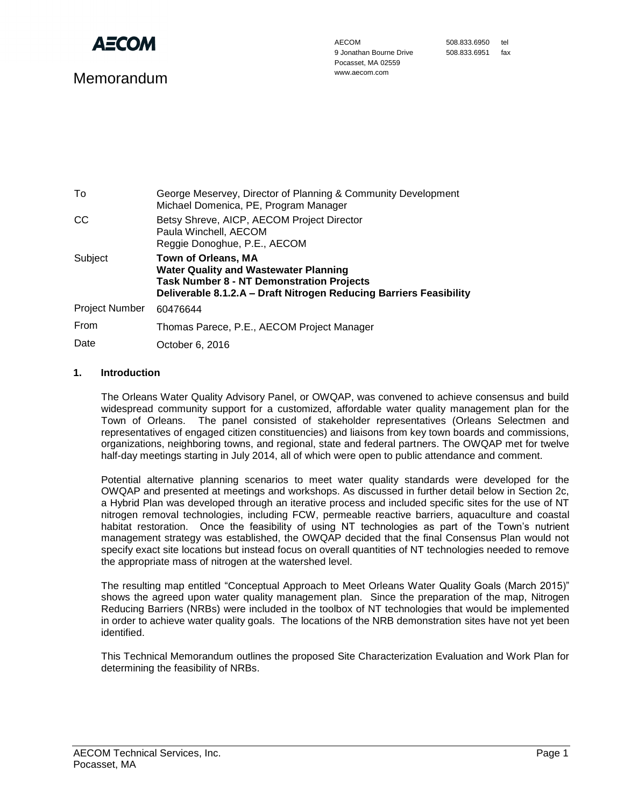

# Memorandum

| To                    | George Meservey, Director of Planning & Community Development<br>Michael Domenica, PE, Program Manager                                                                                               |  |
|-----------------------|------------------------------------------------------------------------------------------------------------------------------------------------------------------------------------------------------|--|
| CC                    | Betsy Shreve, AICP, AECOM Project Director<br>Paula Winchell, AECOM<br>Reggie Donoghue, P.E., AECOM                                                                                                  |  |
| Subject               | <b>Town of Orleans, MA</b><br><b>Water Quality and Wastewater Planning</b><br><b>Task Number 8 - NT Demonstration Projects</b><br>Deliverable 8.1.2.A - Draft Nitrogen Reducing Barriers Feasibility |  |
| <b>Project Number</b> | 60476644                                                                                                                                                                                             |  |
| From                  | Thomas Parece, P.E., AECOM Project Manager                                                                                                                                                           |  |
| Date                  | October 6, 2016                                                                                                                                                                                      |  |

## **1. Introduction**

The Orleans Water Quality Advisory Panel, or OWQAP, was convened to achieve consensus and build widespread community support for a customized, affordable water quality management plan for the Town of Orleans. The panel consisted of stakeholder representatives (Orleans Selectmen and representatives of engaged citizen constituencies) and liaisons from key town boards and commissions, organizations, neighboring towns, and regional, state and federal partners. The OWQAP met for twelve half-day meetings starting in July 2014, all of which were open to public attendance and comment.

Potential alternative planning scenarios to meet water quality standards were developed for the OWQAP and presented at meetings and workshops. As discussed in further detail below in Section 2c, a Hybrid Plan was developed through an iterative process and included specific sites for the use of NT nitrogen removal technologies, including FCW, permeable reactive barriers, aquaculture and coastal habitat restoration. Once the feasibility of using NT technologies as part of the Town's nutrient management strategy was established, the OWQAP decided that the final Consensus Plan would not specify exact site locations but instead focus on overall quantities of NT technologies needed to remove the appropriate mass of nitrogen at the watershed level.

The resulting map entitled "Conceptual Approach to Meet Orleans Water Quality Goals (March 2015)" shows the agreed upon water quality management plan. Since the preparation of the map, Nitrogen Reducing Barriers (NRBs) were included in the toolbox of NT technologies that would be implemented in order to achieve water quality goals. The locations of the NRB demonstration sites have not yet been identified.

This Technical Memorandum outlines the proposed Site Characterization Evaluation and Work Plan for determining the feasibility of NRBs.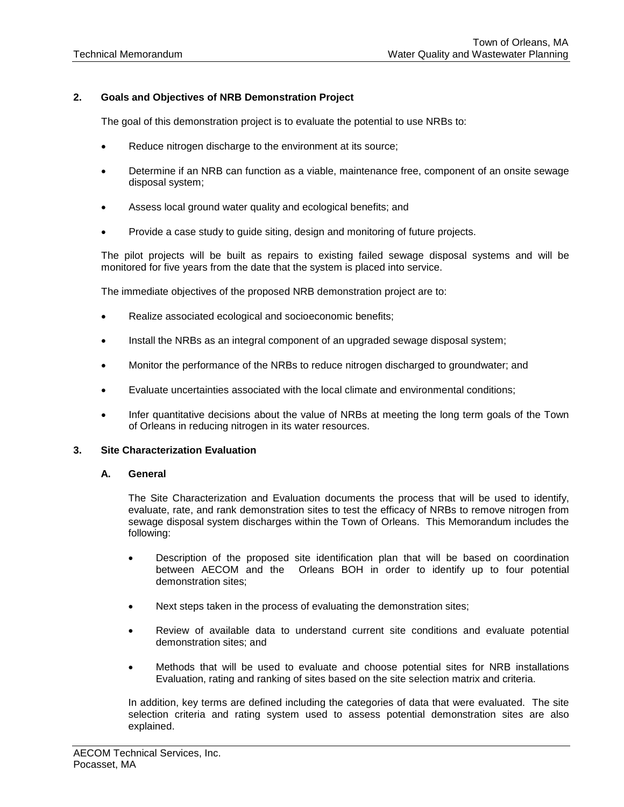## **2. Goals and Objectives of NRB Demonstration Project**

The goal of this demonstration project is to evaluate the potential to use NRBs to:

- Reduce nitrogen discharge to the environment at its source;
- Determine if an NRB can function as a viable, maintenance free, component of an onsite sewage disposal system;
- Assess local ground water quality and ecological benefits; and
- Provide a case study to guide siting, design and monitoring of future projects.

The pilot projects will be built as repairs to existing failed sewage disposal systems and will be monitored for five years from the date that the system is placed into service.

The immediate objectives of the proposed NRB demonstration project are to:

- Realize associated ecological and socioeconomic benefits;
- Install the NRBs as an integral component of an upgraded sewage disposal system;
- Monitor the performance of the NRBs to reduce nitrogen discharged to groundwater; and
- Evaluate uncertainties associated with the local climate and environmental conditions;
- Infer quantitative decisions about the value of NRBs at meeting the long term goals of the Town of Orleans in reducing nitrogen in its water resources.

#### **3. Site Characterization Evaluation**

#### **A. General**

The Site Characterization and Evaluation documents the process that will be used to identify, evaluate, rate, and rank demonstration sites to test the efficacy of NRBs to remove nitrogen from sewage disposal system discharges within the Town of Orleans. This Memorandum includes the following:

- Description of the proposed site identification plan that will be based on coordination between AECOM and the Orleans BOH in order to identify up to four potential demonstration sites;
- Next steps taken in the process of evaluating the demonstration sites;
- Review of available data to understand current site conditions and evaluate potential demonstration sites; and
- Methods that will be used to evaluate and choose potential sites for NRB installations Evaluation, rating and ranking of sites based on the site selection matrix and criteria.

In addition, key terms are defined including the categories of data that were evaluated. The site selection criteria and rating system used to assess potential demonstration sites are also explained.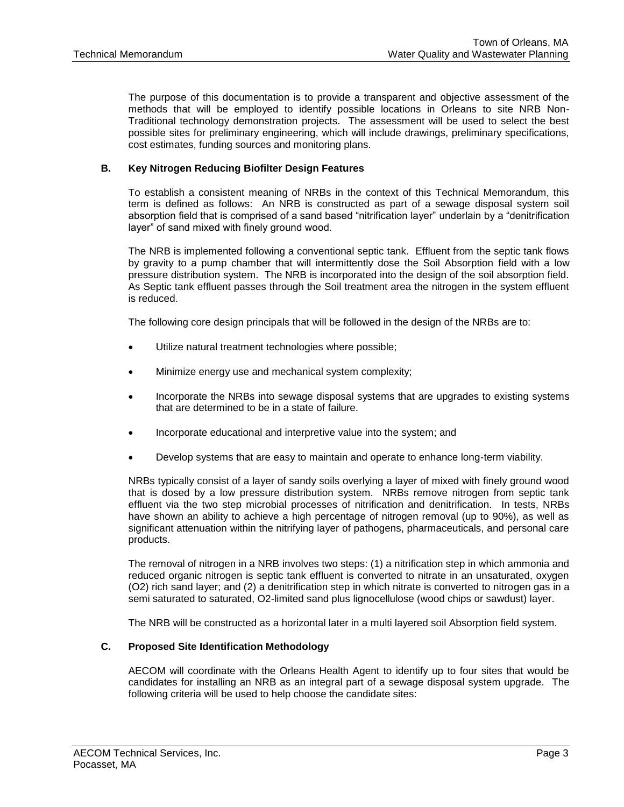The purpose of this documentation is to provide a transparent and objective assessment of the methods that will be employed to identify possible locations in Orleans to site NRB Non-Traditional technology demonstration projects. The assessment will be used to select the best possible sites for preliminary engineering, which will include drawings, preliminary specifications, cost estimates, funding sources and monitoring plans.

# **B. Key Nitrogen Reducing Biofilter Design Features**

To establish a consistent meaning of NRBs in the context of this Technical Memorandum, this term is defined as follows: An NRB is constructed as part of a sewage disposal system soil absorption field that is comprised of a sand based "nitrification layer" underlain by a "denitrification layer" of sand mixed with finely ground wood.

The NRB is implemented following a conventional septic tank. Effluent from the septic tank flows by gravity to a pump chamber that will intermittently dose the Soil Absorption field with a low pressure distribution system. The NRB is incorporated into the design of the soil absorption field. As Septic tank effluent passes through the Soil treatment area the nitrogen in the system effluent is reduced.

The following core design principals that will be followed in the design of the NRBs are to:

- Utilize natural treatment technologies where possible;
- Minimize energy use and mechanical system complexity;
- Incorporate the NRBs into sewage disposal systems that are upgrades to existing systems that are determined to be in a state of failure.
- Incorporate educational and interpretive value into the system; and
- Develop systems that are easy to maintain and operate to enhance long-term viability.

NRBs typically consist of a layer of sandy soils overlying a layer of mixed with finely ground wood that is dosed by a low pressure distribution system. NRBs remove nitrogen from septic tank effluent via the two step microbial processes of nitrification and denitrification. In tests, NRBs have shown an ability to achieve a high percentage of nitrogen removal (up to 90%), as well as significant attenuation within the nitrifying layer of pathogens, pharmaceuticals, and personal care products.

The removal of nitrogen in a NRB involves two steps: (1) a nitrification step in which ammonia and reduced organic nitrogen is septic tank effluent is converted to nitrate in an unsaturated, oxygen (O2) rich sand layer; and (2) a denitrification step in which nitrate is converted to nitrogen gas in a semi saturated to saturated, O2-limited sand plus lignocellulose (wood chips or sawdust) layer.

The NRB will be constructed as a horizontal later in a multi layered soil Absorption field system.

#### **C. Proposed Site Identification Methodology**

AECOM will coordinate with the Orleans Health Agent to identify up to four sites that would be candidates for installing an NRB as an integral part of a sewage disposal system upgrade. The following criteria will be used to help choose the candidate sites: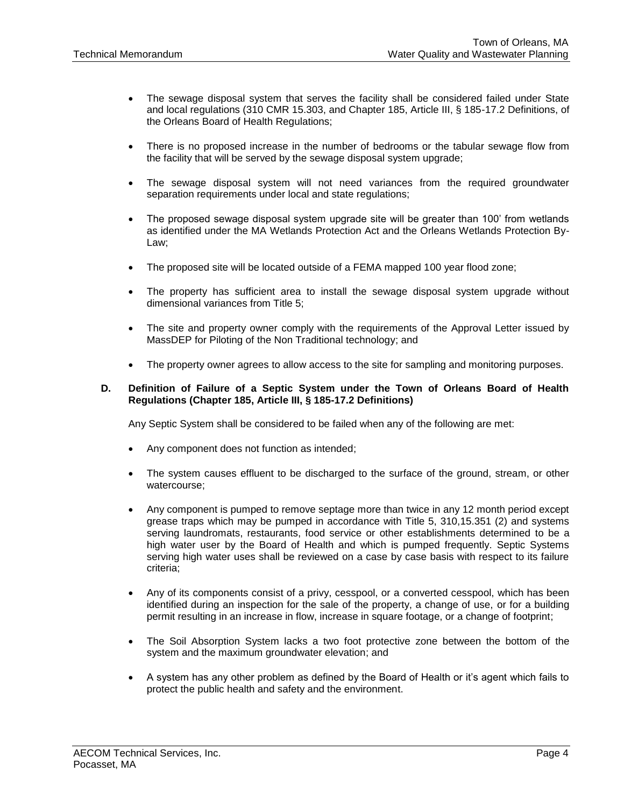- The sewage disposal system that serves the facility shall be considered failed under State and local regulations (310 CMR 15.303, and Chapter 185, Article III, § 185-17.2 Definitions, of the Orleans Board of Health Regulations;
- There is no proposed increase in the number of bedrooms or the tabular sewage flow from the facility that will be served by the sewage disposal system upgrade;
- The sewage disposal system will not need variances from the required groundwater separation requirements under local and state regulations;
- The proposed sewage disposal system upgrade site will be greater than 100' from wetlands as identified under the MA Wetlands Protection Act and the Orleans Wetlands Protection By-Law;
- The proposed site will be located outside of a FEMA mapped 100 year flood zone;
- The property has sufficient area to install the sewage disposal system upgrade without dimensional variances from Title 5;
- The site and property owner comply with the requirements of the Approval Letter issued by MassDEP for Piloting of the Non Traditional technology; and
- The property owner agrees to allow access to the site for sampling and monitoring purposes.

#### **D. Definition of Failure of a Septic System under the Town of Orleans Board of Health Regulations (Chapter 185, Article III, § 185-17.2 Definitions)**

Any Septic System shall be considered to be failed when any of the following are met:

- Any component does not function as intended;
- The system causes effluent to be discharged to the surface of the ground, stream, or other watercourse;
- Any component is pumped to remove septage more than twice in any 12 month period except grease traps which may be pumped in accordance with Title 5, 310,15.351 (2) and systems serving laundromats, restaurants, food service or other establishments determined to be a high water user by the Board of Health and which is pumped frequently. Septic Systems serving high water uses shall be reviewed on a case by case basis with respect to its failure criteria;
- Any of its components consist of a privy, cesspool, or a converted cesspool, which has been identified during an inspection for the sale of the property, a change of use, or for a building permit resulting in an increase in flow, increase in square footage, or a change of footprint;
- The Soil Absorption System lacks a two foot protective zone between the bottom of the system and the maximum groundwater elevation; and
- A system has any other problem as defined by the Board of Health or it's agent which fails to protect the public health and safety and the environment.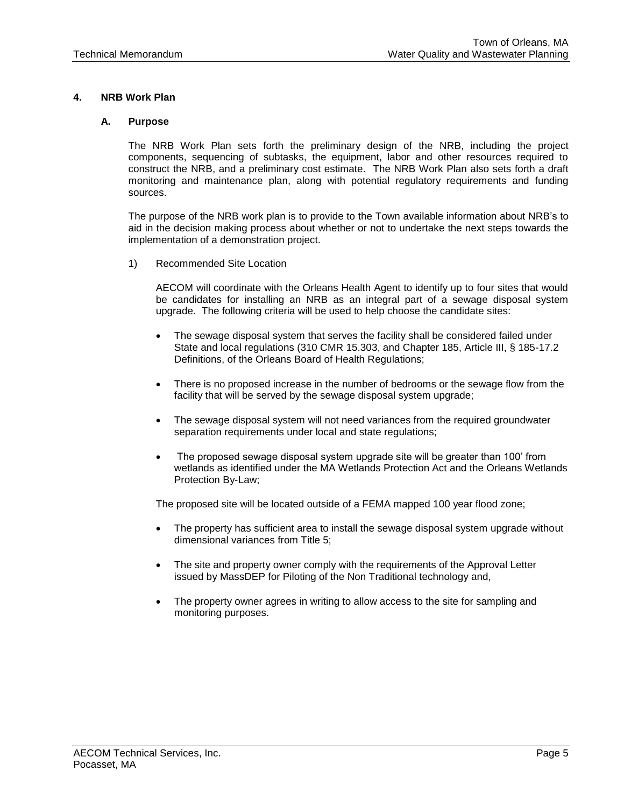# **4. NRB Work Plan**

## **A. Purpose**

The NRB Work Plan sets forth the preliminary design of the NRB, including the project components, sequencing of subtasks, the equipment, labor and other resources required to construct the NRB, and a preliminary cost estimate. The NRB Work Plan also sets forth a draft monitoring and maintenance plan, along with potential regulatory requirements and funding sources.

The purpose of the NRB work plan is to provide to the Town available information about NRB's to aid in the decision making process about whether or not to undertake the next steps towards the implementation of a demonstration project.

1) Recommended Site Location

AECOM will coordinate with the Orleans Health Agent to identify up to four sites that would be candidates for installing an NRB as an integral part of a sewage disposal system upgrade. The following criteria will be used to help choose the candidate sites:

- The sewage disposal system that serves the facility shall be considered failed under State and local regulations (310 CMR 15.303, and Chapter 185, Article III, § 185-17.2 Definitions, of the Orleans Board of Health Regulations;
- There is no proposed increase in the number of bedrooms or the sewage flow from the facility that will be served by the sewage disposal system upgrade;
- The sewage disposal system will not need variances from the required groundwater separation requirements under local and state regulations;
- The proposed sewage disposal system upgrade site will be greater than 100' from wetlands as identified under the MA Wetlands Protection Act and the Orleans Wetlands Protection By-Law;

The proposed site will be located outside of a FEMA mapped 100 year flood zone;

- The property has sufficient area to install the sewage disposal system upgrade without dimensional variances from Title 5;
- The site and property owner comply with the requirements of the Approval Letter issued by MassDEP for Piloting of the Non Traditional technology and,
- The property owner agrees in writing to allow access to the site for sampling and monitoring purposes.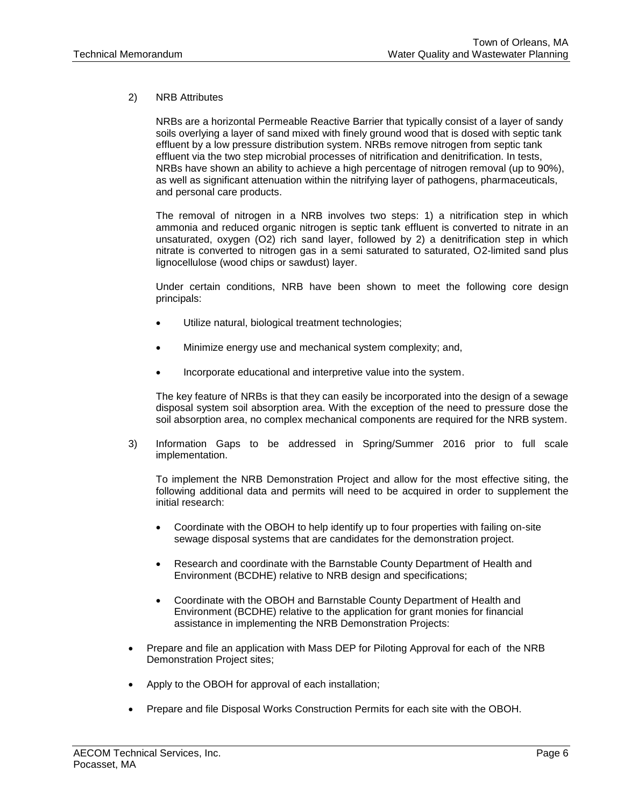## 2) NRB Attributes

NRBs are a horizontal Permeable Reactive Barrier that typically consist of a layer of sandy soils overlying a layer of sand mixed with finely ground wood that is dosed with septic tank effluent by a low pressure distribution system. NRBs remove nitrogen from septic tank effluent via the two step microbial processes of nitrification and denitrification. In tests, NRBs have shown an ability to achieve a high percentage of nitrogen removal (up to 90%), as well as significant attenuation within the nitrifying layer of pathogens, pharmaceuticals, and personal care products.

The removal of nitrogen in a NRB involves two steps: 1) a nitrification step in which ammonia and reduced organic nitrogen is septic tank effluent is converted to nitrate in an unsaturated, oxygen (O2) rich sand layer, followed by 2) a denitrification step in which nitrate is converted to nitrogen gas in a semi saturated to saturated, O2-limited sand plus lignocellulose (wood chips or sawdust) layer.

Under certain conditions, NRB have been shown to meet the following core design principals:

- Utilize natural, biological treatment technologies;
- Minimize energy use and mechanical system complexity; and,
- Incorporate educational and interpretive value into the system.

The key feature of NRBs is that they can easily be incorporated into the design of a sewage disposal system soil absorption area. With the exception of the need to pressure dose the soil absorption area, no complex mechanical components are required for the NRB system.

3) Information Gaps to be addressed in Spring/Summer 2016 prior to full scale implementation.

To implement the NRB Demonstration Project and allow for the most effective siting, the following additional data and permits will need to be acquired in order to supplement the initial research:

- Coordinate with the OBOH to help identify up to four properties with failing on-site sewage disposal systems that are candidates for the demonstration project.
- Research and coordinate with the Barnstable County Department of Health and Environment (BCDHE) relative to NRB design and specifications;
- Coordinate with the OBOH and Barnstable County Department of Health and Environment (BCDHE) relative to the application for grant monies for financial assistance in implementing the NRB Demonstration Projects:
- Prepare and file an application with Mass DEP for Piloting Approval for each of the NRB Demonstration Project sites;
- Apply to the OBOH for approval of each installation;
- Prepare and file Disposal Works Construction Permits for each site with the OBOH.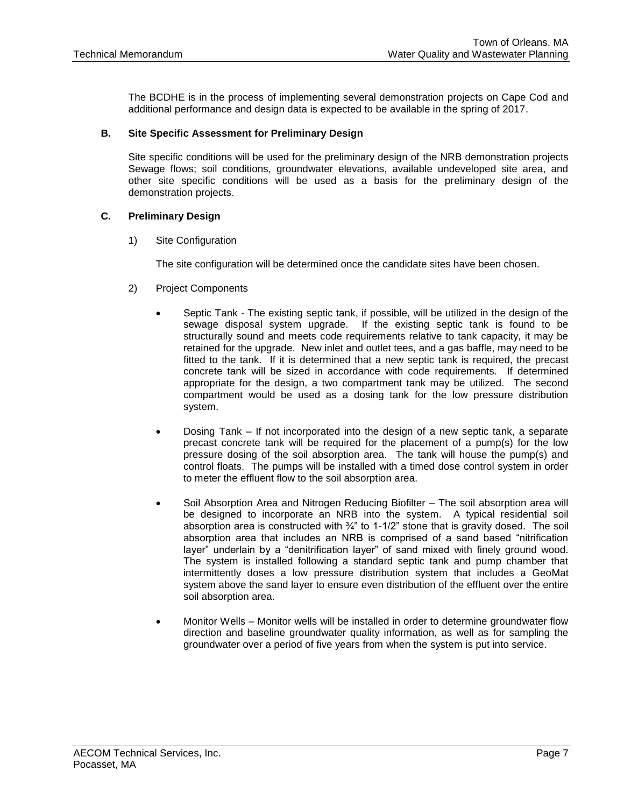The BCDHE is in the process of implementing several demonstration projects on Cape Cod and additional performance and design data is expected to be available in the spring of 2017.

## **B. Site Specific Assessment for Preliminary Design**

Site specific conditions will be used for the preliminary design of the NRB demonstration projects Sewage flows; soil conditions, groundwater elevations, available undeveloped site area, and other site specific conditions will be used as a basis for the preliminary design of the demonstration projects.

### **C. Preliminary Design**

1) Site Configuration

The site configuration will be determined once the candidate sites have been chosen.

- 2) Project Components
	- Septic Tank The existing septic tank, if possible, will be utilized in the design of the sewage disposal system upgrade. If the existing septic tank is found to be structurally sound and meets code requirements relative to tank capacity, it may be retained for the upgrade. New inlet and outlet tees, and a gas baffle, may need to be fitted to the tank. If it is determined that a new septic tank is required, the precast concrete tank will be sized in accordance with code requirements. If determined appropriate for the design, a two compartment tank may be utilized. The second compartment would be used as a dosing tank for the low pressure distribution system.
	- Dosing Tank If not incorporated into the design of a new septic tank, a separate precast concrete tank will be required for the placement of a pump(s) for the low pressure dosing of the soil absorption area. The tank will house the pump(s) and control floats. The pumps will be installed with a timed dose control system in order to meter the effluent flow to the soil absorption area.
	- Soil Absorption Area and Nitrogen Reducing Biofilter The soil absorption area will be designed to incorporate an NRB into the system. A typical residential soil absorption area is constructed with  $\frac{3}{4}$ " to 1-1/2" stone that is gravity dosed. The soil absorption area that includes an NRB is comprised of a sand based "nitrification layer" underlain by a "denitrification layer" of sand mixed with finely ground wood. The system is installed following a standard septic tank and pump chamber that intermittently doses a low pressure distribution system that includes a GeoMat system above the sand layer to ensure even distribution of the effluent over the entire soil absorption area.
	- Monitor Wells Monitor wells will be installed in order to determine groundwater flow direction and baseline groundwater quality information, as well as for sampling the groundwater over a period of five years from when the system is put into service.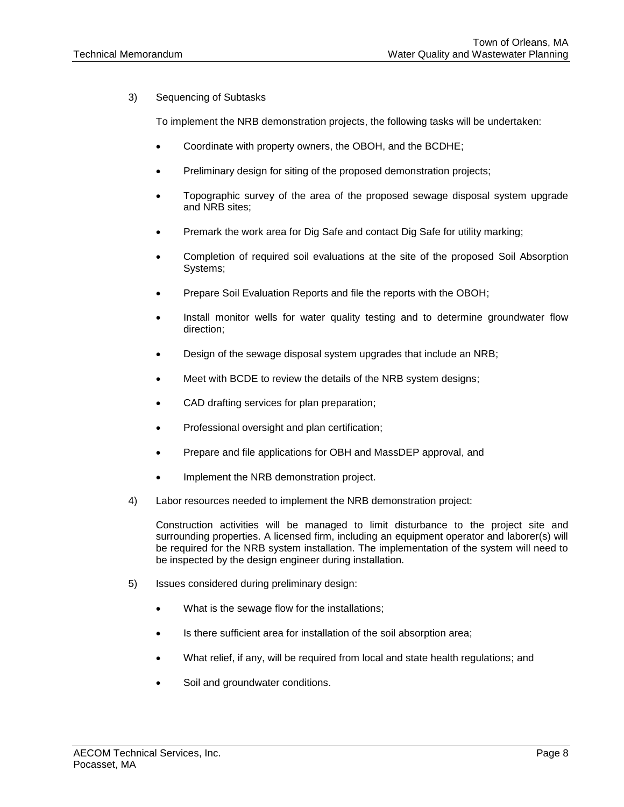3) Sequencing of Subtasks

To implement the NRB demonstration projects, the following tasks will be undertaken:

- Coordinate with property owners, the OBOH, and the BCDHE;
- Preliminary design for siting of the proposed demonstration projects;
- Topographic survey of the area of the proposed sewage disposal system upgrade and NRB sites;
- Premark the work area for Dig Safe and contact Dig Safe for utility marking;
- Completion of required soil evaluations at the site of the proposed Soil Absorption Systems;
- Prepare Soil Evaluation Reports and file the reports with the OBOH;
- Install monitor wells for water quality testing and to determine groundwater flow direction;
- Design of the sewage disposal system upgrades that include an NRB;
- Meet with BCDE to review the details of the NRB system designs;
- CAD drafting services for plan preparation;
- Professional oversight and plan certification;
- Prepare and file applications for OBH and MassDEP approval, and
- Implement the NRB demonstration project.
- 4) Labor resources needed to implement the NRB demonstration project:

Construction activities will be managed to limit disturbance to the project site and surrounding properties. A licensed firm, including an equipment operator and laborer(s) will be required for the NRB system installation. The implementation of the system will need to be inspected by the design engineer during installation.

- 5) Issues considered during preliminary design:
	- What is the sewage flow for the installations;
	- Is there sufficient area for installation of the soil absorption area;
	- What relief, if any, will be required from local and state health regulations; and
	- Soil and groundwater conditions.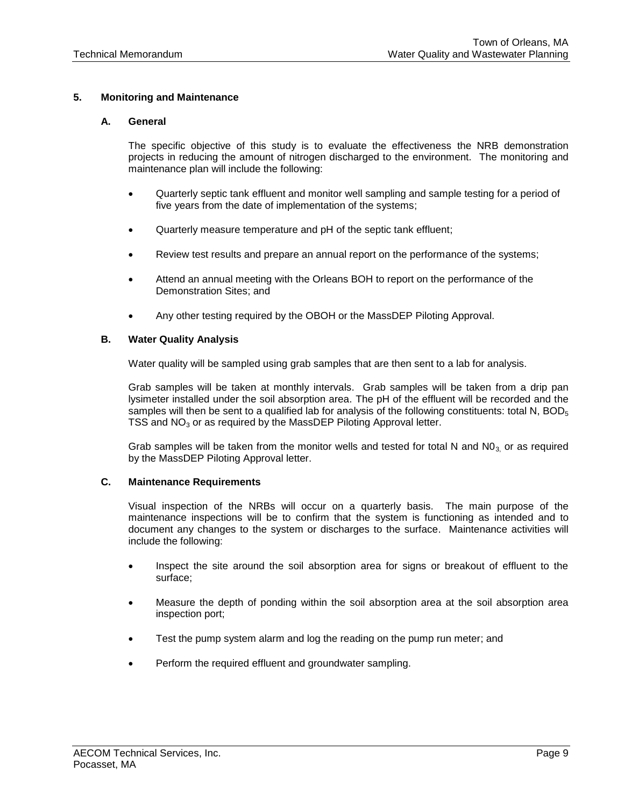# **5. Monitoring and Maintenance**

## **A. General**

The specific objective of this study is to evaluate the effectiveness the NRB demonstration projects in reducing the amount of nitrogen discharged to the environment. The monitoring and maintenance plan will include the following:

- Quarterly septic tank effluent and monitor well sampling and sample testing for a period of five years from the date of implementation of the systems;
- Quarterly measure temperature and pH of the septic tank effluent;
- Review test results and prepare an annual report on the performance of the systems;
- Attend an annual meeting with the Orleans BOH to report on the performance of the Demonstration Sites; and
- Any other testing required by the OBOH or the MassDEP Piloting Approval.

## **B. Water Quality Analysis**

Water quality will be sampled using grab samples that are then sent to a lab for analysis.

Grab samples will be taken at monthly intervals. Grab samples will be taken from a drip pan lysimeter installed under the soil absorption area. The pH of the effluent will be recorded and the samples will then be sent to a qualified lab for analysis of the following constituents: total N,  $BOD<sub>5</sub>$ TSS and  $NO<sub>3</sub>$  or as required by the MassDEP Piloting Approval letter.

Grab samples will be taken from the monitor wells and tested for total N and  $N0<sub>3</sub>$  or as required by the MassDEP Piloting Approval letter.

## **C. Maintenance Requirements**

Visual inspection of the NRBs will occur on a quarterly basis. The main purpose of the maintenance inspections will be to confirm that the system is functioning as intended and to document any changes to the system or discharges to the surface. Maintenance activities will include the following:

- Inspect the site around the soil absorption area for signs or breakout of effluent to the surface;
- Measure the depth of ponding within the soil absorption area at the soil absorption area inspection port;
- Test the pump system alarm and log the reading on the pump run meter; and
- Perform the required effluent and groundwater sampling.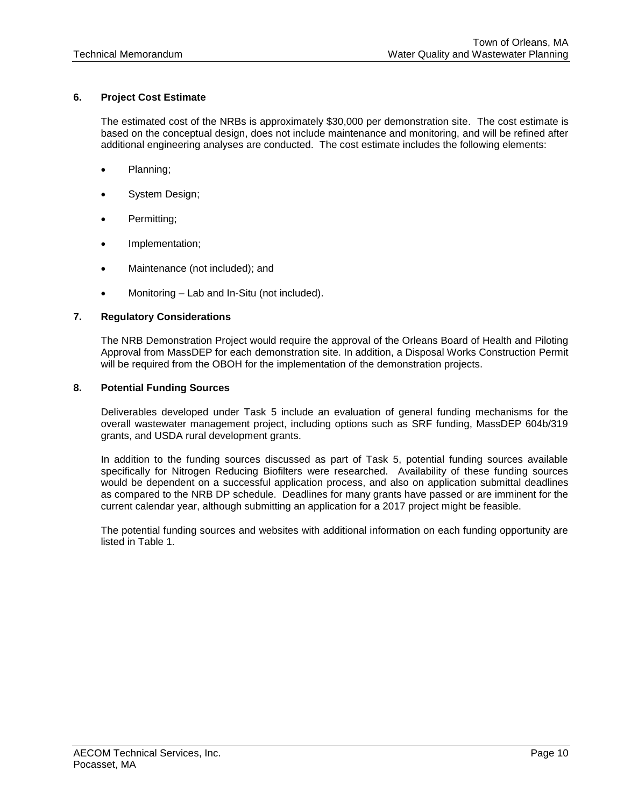# **6. Project Cost Estimate**

The estimated cost of the NRBs is approximately \$30,000 per demonstration site. The cost estimate is based on the conceptual design, does not include maintenance and monitoring, and will be refined after additional engineering analyses are conducted. The cost estimate includes the following elements:

- Planning;
- System Design;
- Permitting;
- Implementation;
- Maintenance (not included); and
- Monitoring Lab and In-Situ (not included).

## **7. Regulatory Considerations**

The NRB Demonstration Project would require the approval of the Orleans Board of Health and Piloting Approval from MassDEP for each demonstration site. In addition, a Disposal Works Construction Permit will be required from the OBOH for the implementation of the demonstration projects.

### **8. Potential Funding Sources**

Deliverables developed under Task 5 include an evaluation of general funding mechanisms for the overall wastewater management project, including options such as SRF funding, MassDEP 604b/319 grants, and USDA rural development grants.

In addition to the funding sources discussed as part of Task 5, potential funding sources available specifically for Nitrogen Reducing Biofilters were researched. Availability of these funding sources would be dependent on a successful application process, and also on application submittal deadlines as compared to the NRB DP schedule. Deadlines for many grants have passed or are imminent for the current calendar year, although submitting an application for a 2017 project might be feasible.

The potential funding sources and websites with additional information on each funding opportunity are listed in Table 1.